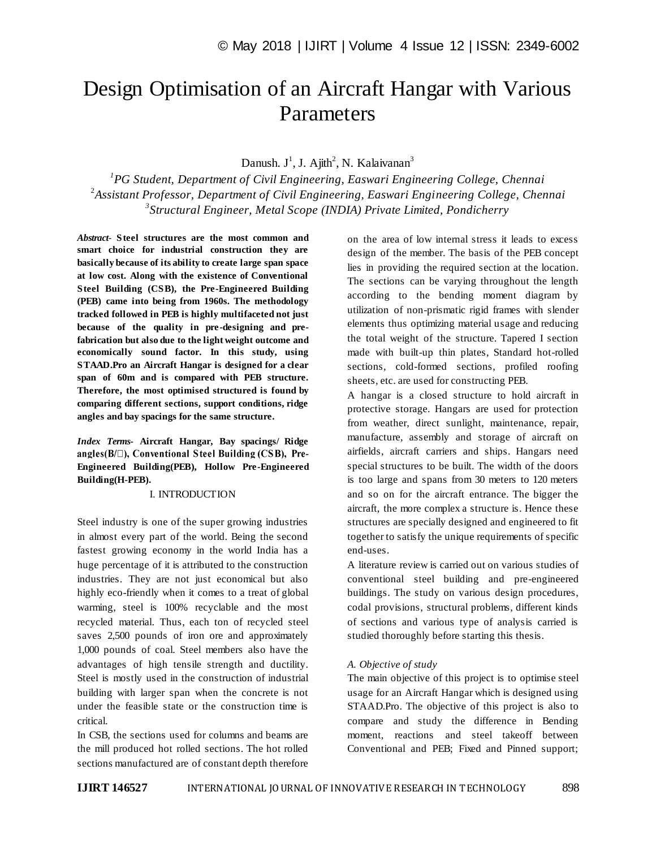# Design Optimisation of an Aircraft Hangar with Various Parameters

Danush. J<sup>1</sup>, J. Ajith<sup>2</sup>, N. Kalaivanan<sup>3</sup>

*1 PG Student, Department of Civil Engineering, Easwari Engineering College, Chennai* 2 *Assistant Professor, Department of Civil Engineering, Easwari Engineering College, Chennai 3 Structural Engineer, Metal Scope (INDIA) Private Limited, Pondicherry*

*Abstract*- **Steel structures are the most common and smart choice for industrial construction they are basically because of its ability to create large span space at low cost. Along with the existence of Conventional Steel Building (CSB), the Pre-Engineered Building (PEB) came into being from 1960s. The methodology tracked followed in PEB is highly multifaceted not just because of the quality in pre-designing and prefabrication but also due to the light weight outcome and economically sound factor. In this study, using STAAD.Pro an Aircraft Hangar is designed for a clear span of 60m and is compared with PEB structure. Therefore, the most optimised structured is found by comparing different sections, support conditions, ridge angles and bay spacings for the same structure.**

*Index Terms***- Aircraft Hangar, Bay spacings/ Ridge**  angles(B/ $\Box$ ), Conventional Steel Building (CSB), Pre-**Engineered Building(PEB), Hollow Pre-Engineered Building(H-PEB).**

## I. INTRODUCTION

Steel industry is one of the super growing industries in almost every part of the world. Being the second fastest growing economy in the world India has a huge percentage of it is attributed to the construction industries. They are not just economical but also highly eco-friendly when it comes to a treat of global warming, steel is 100% recyclable and the most recycled material. Thus, each ton of recycled steel saves 2,500 pounds of iron ore and approximately 1,000 pounds of coal. Steel members also have the advantages of high tensile strength and ductility. Steel is mostly used in the construction of industrial building with larger span when the concrete is not under the feasible state or the construction time is critical.

In CSB, the sections used for columns and beams are the mill produced hot rolled sections. The hot rolled sections manufactured are of constant depth therefore on the area of low internal stress it leads to excess design of the member. The basis of the PEB concept lies in providing the required section at the location. The sections can be varying throughout the length according to the bending moment diagram by utilization of non-prismatic rigid frames with slender elements thus optimizing material usage and reducing the total weight of the structure. Tapered I section made with built-up thin plates, Standard hot-rolled sections, cold-formed sections, profiled roofing sheets, etc. are used for constructing PEB.

A hangar is a closed structure to hold aircraft in protective storage. Hangars are used for protection from weather, direct sunlight, maintenance, repair, manufacture, assembly and storage of aircraft on airfields, aircraft carriers and ships. Hangars need special structures to be built. The width of the doors is too large and spans from 30 meters to 120 meters and so on for the aircraft entrance. The bigger the aircraft, the more complex a structure is. Hence these structures are specially designed and engineered to fit together to satisfy the unique requirements of specific end-uses.

A literature review is carried out on various studies of conventional steel building and pre-engineered buildings. The study on various design procedures, codal provisions, structural problems, different kinds of sections and various type of analysis carried is studied thoroughly before starting this thesis.

## *A. Objective of study*

The main objective of this project is to optimise steel usage for an Aircraft Hangar which is designed using STAAD.Pro. The objective of this project is also to compare and study the difference in Bending moment, reactions and steel takeoff between Conventional and PEB; Fixed and Pinned support;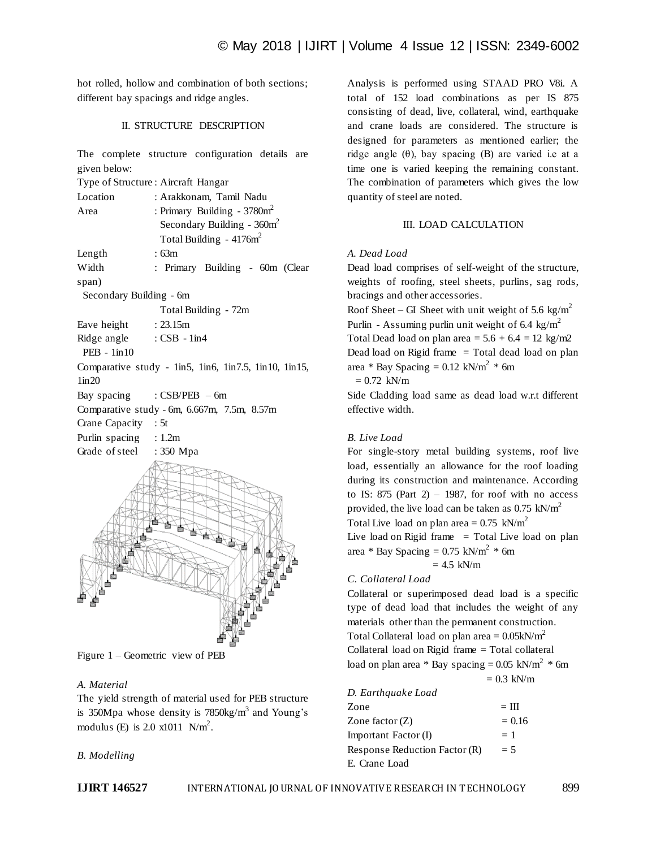hot rolled, hollow and combination of both sections; different bay spacings and ridge angles.

## II. STRUCTURE DESCRIPTION

The complete structure configuration details are given below:

Type of Structure : Aircraft Hangar

| Location                 | : Arakkonam, Tamil Nadu                               |
|--------------------------|-------------------------------------------------------|
| Area                     | : Primary Building - $3780m^2$                        |
|                          | Secondary Building - $360m^2$                         |
|                          | Total Building - $4176m^2$                            |
| Length                   | :63m                                                  |
| Width                    | : Primary Building - 60m (Clear                       |
| span)                    |                                                       |
| Secondary Building - 6m  |                                                       |
|                          | Total Building - 72m                                  |
| Eave height : 23.15m     |                                                       |
| Ridge angle : CSB - 1in4 |                                                       |
| $PEB - 1in10$            |                                                       |
|                          | Comparative study - lin5, lin6, lin7.5, lin10, lin15, |
| 1in20                    |                                                       |
|                          | Bay spacing : CSB/PEB - 6m                            |
|                          | Comparative study - 6m, 6.667m, 7.5m, 8.57m           |
| Crane Capacity : 5t      |                                                       |
| Purlin spacing : 1.2m    |                                                       |
| Grade of steel : 350 Mpa |                                                       |
|                          |                                                       |

Figure 1 – Geometric view of PEB

# *A. Material*

The yield strength of material used for PEB structure is 350Mpa whose density is  $7850$ kg/m<sup>3</sup> and Young's modulus (E) is 2.0  $x1011 \text{ N/m}^2$ .

# *B. Modelling*

Analysis is performed using STAAD PRO V8i. A total of 152 load combinations as per IS 875 consisting of dead, live, collateral, wind, earthquake and crane loads are considered. The structure is designed for parameters as mentioned earlier; the ridge angle  $(θ)$ , bay spacing  $(B)$  are varied i.e at a time one is varied keeping the remaining constant. The combination of parameters which gives the low quantity of steel are noted.

# III. LOAD CALCULATION

## *A. Dead Load*

Dead load comprises of self-weight of the structure, weights of roofing, steel sheets, purlins, sag rods, bracings and other accessories.

Roof Sheet – GI Sheet with unit weight of 5.6 kg/m<sup>2</sup> Purlin - Assuming purlin unit weight of 6.4 kg/m<sup>2</sup> Total Dead load on plan area =  $5.6 + 6.4 = 12 \text{ kg/m2}$ Dead load on Rigid frame  $=$  Total dead load on plan area \* Bay Spacing =  $0.12$  kN/m<sup>2</sup> \* 6m  $= 0.72$  kN/m

Side Cladding load same as dead load w.r.t different effective width.

## *B. Live Load*

For single-story metal building systems, roof live load, essentially an allowance for the roof loading during its construction and maintenance. According to IS: 875 (Part 2) – 1987, for roof with no access provided, the live load can be taken as  $0.75$  kN/m<sup>2</sup> Total Live load on plan area =  $0.75$  kN/m<sup>2</sup> Live load on Rigid frame  $=$  Total Live load on plan area \* Bay Spacing =  $0.75$  kN/m<sup>2</sup> \* 6m  $= 4.5$  kN/m

## *C. Collateral Load*

Collateral or superimposed dead load is a specific type of dead load that includes the weight of any materials other than the permanent construction. Total Collateral load on plan area  $= 0.05 \text{kN/m}^2$ Collateral load on Rigid frame = Total collateral load on plan area \* Bay spacing  $= 0.05$  kN/m<sup>2</sup> \* 6m

 $= 0.3$  kN/m

| D. Earthquake Load            |          |
|-------------------------------|----------|
| Zone                          | $=$ III  |
| Zone factor $(Z)$             | $= 0.16$ |
| Important Factor (I)          | $= 1$    |
| Response Reduction Factor (R) | $= 5$    |
| E. Crane Load                 |          |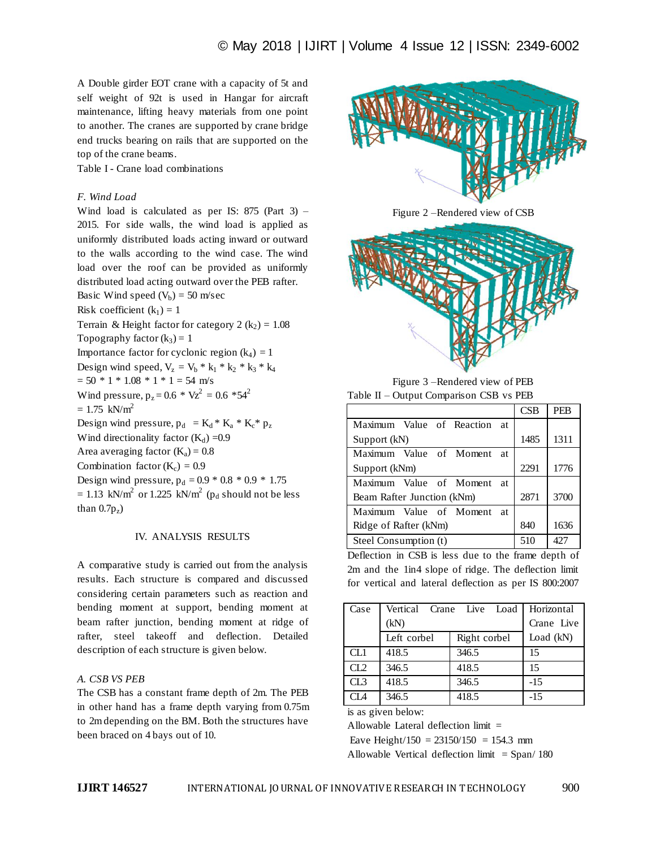A Double girder EOT crane with a capacity of 5t and self weight of 92t is used in Hangar for aircraft maintenance, lifting heavy materials from one point to another. The cranes are supported by crane bridge end trucks bearing on rails that are supported on the top of the crane beams.

Table I - Crane load combinations

# *F. Wind Load*

Wind load is calculated as per IS:  $875$  (Part 3) – 2015. For side walls, the wind load is applied as uniformly distributed loads acting inward or outward to the walls according to the wind case. The wind load over the roof can be provided as uniformly distributed load acting outward over the PEB rafter. Basic Wind speed  $(V_b) = 50$  m/sec

Risk coefficient  $(k_1) = 1$ Terrain & Height factor for category 2  $(k_2) = 1.08$ 

Topography factor  $(k_3) = 1$ 

Importance factor for cyclonic region  $(k_4) = 1$ 

Design wind speed,  $V_z = V_b * k_1 * k_2 * k_3 * k_4$ 

 $= 50 * 1 * 1.08 * 1 * 1 = 54$  m/s

Wind pressure,  $p_z = 0.6 * Vz^2 = 0.6 * 54^2$ 

 $= 1.75$  kN/m<sup>2</sup>

Design wind pressure,  $p_d = K_d * K_a * K_c * p_z$ 

Wind directionality factor  $(K_d) = 0.9$ 

Area averaging factor  $(K_a) = 0.8$ 

Combination factor  $(K_c) = 0.9$ 

Design wind pressure,  $p_d = 0.9 * 0.8 * 0.9 * 1.75$  $= 1.13$  kN/m<sup>2</sup> or 1.225 kN/m<sup>2</sup> (p<sub>d</sub> should not be less than  $0.7p_z$ )

## IV. ANALYSIS RESULTS

A comparative study is carried out from the analysis results. Each structure is compared and discussed considering certain parameters such as reaction and bending moment at support, bending moment at beam rafter junction, bending moment at ridge of rafter, steel takeoff and deflection. Detailed description of each structure is given below.

## *A. CSB VS PEB*

The CSB has a constant frame depth of 2m. The PEB in other hand has a frame depth varying from 0.75m to 2m depending on the BM. Both the structures have been braced on 4 bays out of 10.



Figure 2 –Rendered view of CSB



Figure 3 –Rendered view of PEB Table II – Output Comparison CSB vs PEB

|                                | CSB  | <b>PEB</b>   |
|--------------------------------|------|--------------|
| Maximum Value of Reaction at   |      |              |
| Support (kN)                   | 1485 | 1311         |
| Maximum Value of Moment<br>-at |      |              |
| Support (kNm)                  | 2291 | 1776         |
| Maximum Value of Moment<br>-at |      |              |
| Beam Rafter Junction (kNm)     | 2871 | 3700         |
| Maximum Value of Moment<br>-at |      |              |
| Ridge of Rafter (kNm)          | 840  | 1636         |
| Steel Consumption (t)          | 510  | $42^{\circ}$ |

Deflection in CSB is less due to the frame depth of 2m and the 1in4 slope of ridge. The deflection limit for vertical and lateral deflection as per IS 800:2007

| Case |             | Vertical Crane Live Load | Horizontal |
|------|-------------|--------------------------|------------|
|      | (kN)        |                          | Crane Live |
|      | Left corbel | Right corbel             | Load (kN)  |
| CL1  | 418.5       | 346.5                    | 15         |
| CL2  | 346.5       | 418.5                    | 15         |
| CL3  | 418.5       | 346.5                    | $-15$      |
| CI A | 346.5       | 418.5                    | $-15$      |

is as given below:

Allowable Lateral deflection limit =

Eave Height/150 =  $23150/150$  = 154.3 mm

Allowable Vertical deflection limit  $=$  Span/ 180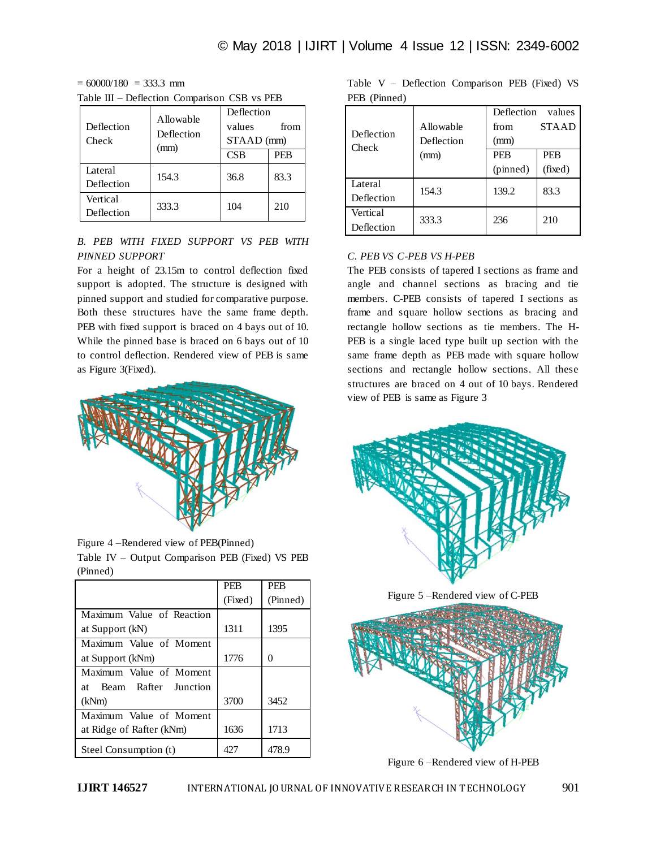$= 60000/180 = 333.3$  mm Table III – Deflection Comparison CSB vs PEB

| Deflection<br>Check    | <b>Allowable</b><br>Deflection<br>(mm) | Deflection<br>values<br>from<br>$STAAD$ (mm) |      |  |
|------------------------|----------------------------------------|----------------------------------------------|------|--|
|                        |                                        | CSB                                          | PEB  |  |
| Lateral<br>Deflection  | 154.3                                  | 36.8                                         | 83.3 |  |
| Vertical<br>Deflection | 333.3                                  | 104                                          | 210  |  |

# *B. PEB WITH FIXED SUPPORT VS PEB WITH PINNED SUPPORT*

For a height of 23.15m to control deflection fixed support is adopted. The structure is designed with pinned support and studied for comparative purpose. Both these structures have the same frame depth. PEB with fixed support is braced on 4 bays out of 10. While the pinned base is braced on 6 bays out of 10 to control deflection. Rendered view of PEB is same as Figure 3(Fixed).



Figure 4 –Rendered view of PEB(Pinned) Table IV – Output Comparison PEB (Fixed) VS PEB (Pinned)

|                            | <b>PEB</b> | <b>PEB</b> |
|----------------------------|------------|------------|
|                            | (Fixed)    | (Pinned)   |
| Maximum Value of Reaction  |            |            |
| at Support (kN)            | 1311       | 1395       |
| Maximum Value of Moment    |            |            |
| at Support (kNm)           | 1776       | 0          |
| Maximum Value of Moment    |            |            |
| Beam Rafter Junction<br>at |            |            |
| (kNm)                      | 3700       | 3452       |
| Maximum Value of Moment    |            |            |
| at Ridge of Rafter (kNm)   | 1636       | 1713       |
| Steel Consumption (t)      | 427        | 478.9      |

|              |  | Table $V$ – Deflection Comparison PEB (Fixed) VS |  |  |
|--------------|--|--------------------------------------------------|--|--|
| PEB (Pinned) |  |                                                  |  |  |

| Deflection<br>Check | Allowable<br>Deflection | Deflection<br>values<br><b>STAAD</b><br>from<br>(mm) |            |  |
|---------------------|-------------------------|------------------------------------------------------|------------|--|
|                     | (mm)                    | <b>PEB</b>                                           | <b>PEB</b> |  |
|                     |                         | (pinned)                                             | (fixed)    |  |
| Lateral             | 154.3                   | 139.2                                                | 83.3       |  |
| Deflection          |                         |                                                      |            |  |
| Vertical            | 333.3                   | 236                                                  | 210        |  |
| Deflection          |                         |                                                      |            |  |

# *C. PEB VS C-PEB VS H-PEB*

The PEB consists of tapered I sections as frame and angle and channel sections as bracing and tie members. C-PEB consists of tapered I sections as frame and square hollow sections as bracing and rectangle hollow sections as tie members. The H-PEB is a single laced type built up section with the same frame depth as PEB made with square hollow sections and rectangle hollow sections. All these structures are braced on 4 out of 10 bays. Rendered view of PEB is same as Figure 3



Figure 5 –Rendered view of C-PEB



Figure 6 –Rendered view of H-PEB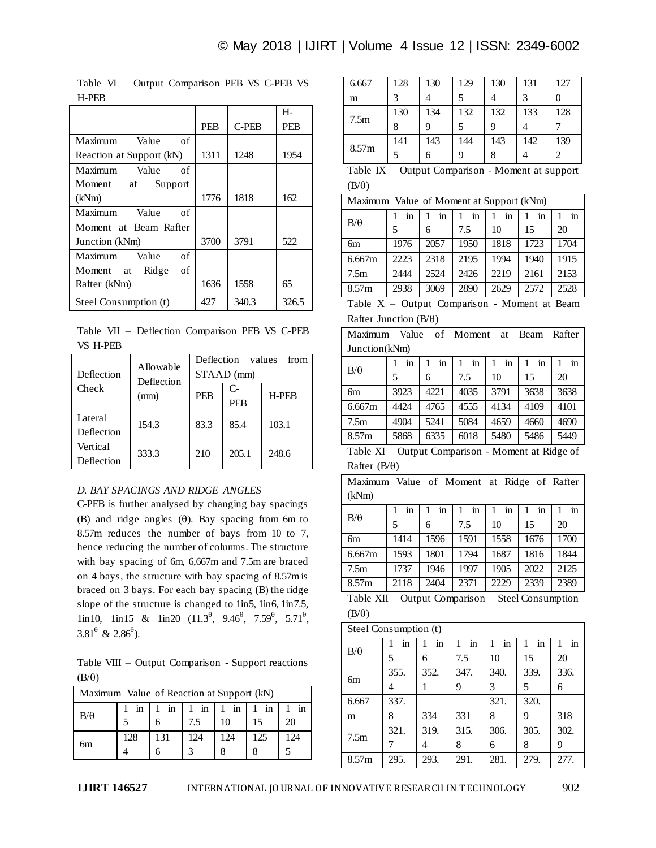|                          |            |       | H-         |
|--------------------------|------------|-------|------------|
|                          | <b>PEB</b> | C-PEB | <b>PEB</b> |
| Maximum<br>Value<br>of   |            |       |            |
| Reaction at Support (kN) | 1311       | 1248  | 1954       |
| Maximum<br>Value<br>of   |            |       |            |
| Moment at<br>Support     |            |       |            |
| (kNm)                    | 1776       | 1818  | 162        |
| Maximum<br>Value<br>of   |            |       |            |
| Moment at Beam Rafter    |            |       |            |
| Junction (kNm)           | 3700       | 3791  | 522        |
| Maximum<br>Value<br>of   |            |       |            |
| Ridge<br>οf<br>Moment at |            |       |            |
| Rafter (kNm)             | 1636       | 1558  | 65         |
| Steel Consumption (t)    | 427        | 340.3 | 326.5      |

Table VI – Output Comparison PEB VS C-PEB VS H-PEB

Table VII – Deflection Comparison PEB VS C-PEB VS H-PEB

| Deflection | Allowable<br>Deflection<br>(mm) | <b>Deflection</b><br>values<br>from |                  |              |  |
|------------|---------------------------------|-------------------------------------|------------------|--------------|--|
|            |                                 | STAAD (mm)                          |                  |              |  |
| Check      |                                 | <b>PEB</b>                          | C-<br><b>PEB</b> | <b>H-PEB</b> |  |
| Lateral    | 154.3                           | 83.3                                | 85.4             | 103.1        |  |
| Deflection |                                 |                                     |                  |              |  |
| Vertical   | 333.3                           | 210                                 | 205.1            | 248.6        |  |
| Deflection |                                 |                                     |                  |              |  |

# *D. BAY SPACINGS AND RIDGE ANGLES*

C-PEB is further analysed by changing bay spacings (B) and ridge angles  $(\theta)$ . Bay spacing from 6m to 8.57m reduces the number of bays from 10 to 7, hence reducing the number of columns. The structure with bay spacing of 6m, 6,667m and 7.5m are braced on 4 bays, the structure with bay spacing of 8.57m is braced on 3 bays. For each bay spacing (B) the ridge slope of the structure is changed to 1in5, 1in6, 1in7.5,  $\[\n\lim_{t \to 0} 10, \quad \lim_{t \to 0} 15 \quad \& \quad \lim_{t \to 0} 20 \quad (11.3^{\theta}, \quad 9.46^{\theta}, \quad 7.59^{\theta}, \quad 5.71^{\theta},\]$  $3.81^{\theta}$  &  $2.86^{\theta}$ ).

Table VIII – Output Comparison - Support reactions  $(B/\theta)$ 

| Maximum Value of Reaction at Support (kN) |     |                                  |     |     |           |     |
|-------------------------------------------|-----|----------------------------------|-----|-----|-----------|-----|
| $B/\theta$                                |     | $\text{in}$   1 in   1 in   1 in |     |     | $\dot{m}$ |     |
|                                           |     |                                  | 7.5 | 10  | 15        | 20  |
|                                           | 128 | 131                              | 124 | 124 | 125       | 124 |
| 6m                                        |     |                                  |     |     |           |     |

| 6.667            | 128 | 130 | 129 | 130 | 131 | 127 |
|------------------|-----|-----|-----|-----|-----|-----|
| m                |     |     |     |     |     |     |
|                  | 130 | 134 | 132 | 132 | 133 | 128 |
| 7.5 <sub>m</sub> | 8   |     |     |     |     |     |
|                  |     |     |     |     |     |     |
| 8.57m            | 141 | 143 | 144 | 143 | 142 | 139 |

Table IX – Output Comparison - Moment at support  $(B/\theta)$ 

| Maximum Value of Moment at Support (kNm) |      |      |      |      |      |      |
|------------------------------------------|------|------|------|------|------|------|
| $B/\theta$                               | in   | in   | in   | in   | in   | in   |
|                                          | 5    | 6    | 7.5  | 10   | 15   | 20   |
| 6m                                       | 1976 | 2057 | 1950 | 1818 | 1723 | 1704 |
| 6.667m                                   | 2223 | 2318 | 2195 | 1994 | 1940 | 1915 |
| 7.5m                                     | 2444 | 2524 | 2426 | 2219 | 2161 | 2153 |
| 8.57m                                    | 2938 | 3069 | 2890 | 2629 | 2572 | 2528 |

|  |                              | Table $X$ – Output Comparison - Moment at Beam |  |  |
|--|------------------------------|------------------------------------------------|--|--|
|  | Rafter Junction $(B/\theta)$ |                                                |  |  |

| Maximum       | Value | of   | Moment | at   | Beam | Rafter |  |
|---------------|-------|------|--------|------|------|--------|--|
| Junction(kNm) |       |      |        |      |      |        |  |
| $B/\theta$    | in    | in   | in     | in   | in   | in     |  |
|               | 5     | 6    | 7.5    | 10   | 15   | 20     |  |
| 6m            | 3923  | 4221 | 4035   | 3791 | 3638 | 3638   |  |
| 6.667m        | 4424  | 4765 | 4555   | 4134 | 4109 | 4101   |  |
| 7.5m          | 4904  | 5241 | 5084   | 4659 | 4660 | 4690   |  |
| 8.57m         | 5868  | 6335 | 6018   | 5480 | 5486 | 5449   |  |
|               |       |      |        |      |      |        |  |

Table XI – Output Comparison - Moment at Ridge of Rafter  $(B/\theta)$ 

| Value of Moment at Ridge of Rafter<br>Maximum<br>(kNm) |                                                 |      |      |      |      |      |  |  |
|--------------------------------------------------------|-------------------------------------------------|------|------|------|------|------|--|--|
|                                                        | in                                              | in   | in   | in   | in   | in   |  |  |
| $B/\theta$                                             | 5                                               | 6    | 7.5  | 10   | 15   | 20   |  |  |
| бm                                                     | 1414                                            | 1596 | 1591 | 1558 | 1676 | 1700 |  |  |
| 6.667m                                                 | 1593                                            | 1801 | 1794 | 1687 | 1816 | 1844 |  |  |
| 7.5 <sub>m</sub>                                       | 1737                                            | 1946 | 1997 | 1905 | 2022 | 2125 |  |  |
| 8.57m                                                  | 2118                                            | 2404 | 2371 | 2229 | 2339 | 2389 |  |  |
| $T = 1.1$                                              | $\sim$<br>$\sim$<br><b>TTT</b><br>$\sim$ $\sim$ |      |      |      |      |      |  |  |

Table XII – Output Comparison – Steel Consumption  $(B/\theta)$ 

| Steel Consumption (t) |      |      |      |      |      |      |
|-----------------------|------|------|------|------|------|------|
|                       | in   | in   | in   | in   | in   | in   |
| $B/\theta$            | 5    | 6    | 7.5  | 10   | 15   | 20   |
| 6m                    | 355. | 352. | 347. | 340. | 339. | 336. |
|                       | 4    |      | 9    | 3    | 5    | 6    |
| 6.667                 | 337. |      |      | 321. | 320. |      |
| m                     | 8    | 334  | 331  | 8    | 9    | 318  |
| 7.5m                  | 321. | 319. | 315. | 306. | 305. | 302. |
|                       |      | 4    | 8    | 6    | 8    | 9    |
| 8.57m                 | 295. | 293. | 291. | 281. | 279. | 277. |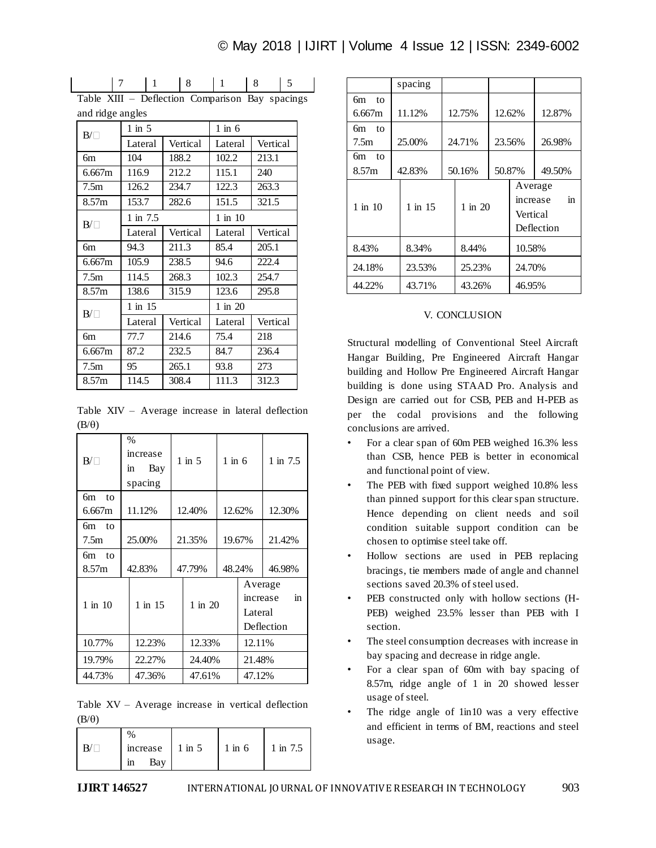$$
\begin{array}{c|ccccc|c}\n7 & 1 & 8 & 1 & 8\n\end{array}
$$

Table XIII – Deflection Comparison Bay spacings and ridge angles

| $B/\Box$          | $1$ in $5$  |          | $1$ in $6$  |          |  |
|-------------------|-------------|----------|-------------|----------|--|
|                   | Lateral     | Vertical | Lateral     | Vertical |  |
| 6m                | 104         | 188.2    | 102.2       | 213.1    |  |
| 6.667m            | 116.9       | 212.2    | 115.1       | 240      |  |
| 7.5m              | 126.2       | 234.7    | 122.3       | 263.3    |  |
| 8.57 <sub>m</sub> | 153.7       | 282.6    | 151.5       | 321.5    |  |
| $B/\Box$          | 1 in 7.5    |          | $1$ in $10$ |          |  |
|                   | Lateral     | Vertical | Lateral     | Vertical |  |
| 6m                | 94.3        | 211.3    | 85.4        | 205.1    |  |
| 6.667m            | 105.9       | 238.5    | 94.6        | 222.4    |  |
| 7.5m              | 114.5       | 268.3    | 102.3       | 254.7    |  |
| 8.57 <sub>m</sub> | 138.6       | 315.9    | 123.6       | 295.8    |  |
| $B/\Box$          | $1$ in $15$ |          | 1 in 20     |          |  |
|                   | Lateral     | Vertical | Lateral     | Vertical |  |
| бm                | 77.7        | 214.6    | 75.4        | 218      |  |
| 6.667m            | 87.2        | 232.5    | 84.7        | 236.4    |  |
| 7.5 <sub>m</sub>  | 95          | 265.1    | 93.8        | 273      |  |
| 8.57 <sub>m</sub> | 114.5       | 308.4    | 111.3       | 312.3    |  |

Table XIV – Average increase in lateral deflection  $(B/\theta)$ 

| $B/\Box$                       | $\frac{0}{0}$<br>increase<br>Bay<br>1n<br>spacing |        | $1$ in $5$       | $1$ in $6$ |                    | 1 in $7.5$                   |
|--------------------------------|---------------------------------------------------|--------|------------------|------------|--------------------|------------------------------|
| 6m<br>to<br>6.667m             | 11.12%                                            |        | 12.40%<br>12.62% |            |                    | 12.30%                       |
| 6m<br>$\overline{t}$<br>7.5m   | 25.00%                                            |        | 21.35%           |            | 19.67%             | 21.42%                       |
| 6m<br>10 <sub>o</sub><br>8.57m | 42.83%                                            |        | 47.79%           | 48.24%     |                    | 46.98%                       |
| $1$ in $10$                    | $1$ in $15$                                       |        | $1$ in $20$      |            | Average<br>Lateral | in<br>increase<br>Deflection |
| 10.77%                         | 12.23%                                            | 12.33% |                  |            | 12.11%             |                              |
| 19.79%                         | 22.27%                                            |        | 24.40%           |            | 21.48%             |                              |
| 44.73%                         | 47.36%                                            |        | 47.61%           |            | 47.12%             |                              |

Table XV – Average increase in vertical deflection  $(B/\theta)$ 

| increase $\vert$ 1 in 5 | $1$ in $6$ | 1 in 7.5 |
|-------------------------|------------|----------|
| Bay<br>1n               |            |          |

|                    | spacing |         |                                 |                  |
|--------------------|---------|---------|---------------------------------|------------------|
| 6m<br>to<br>6.667m | 11.12%  | 12.75%  | 12.62%                          | 12.87%           |
| 6m<br>to<br>7.5m   | 25.00%  | 24.71%  | 23.56%                          | 26.98%           |
| 6m<br>to<br>8.57m  | 42.83%  | 50.16%  | 50.87%                          | 49.50%           |
| $1$ in $10$        | 1 in 15 | 1 in 20 | Average<br>increase<br>Vertical | in<br>Deflection |
| 8.43%              | 8.34%   | 8.44%   | 10.58%                          |                  |
| 24.18%             | 23.53%  | 25.23%  | 24.70%                          |                  |
| 44.22%             | 43.71%  | 43.26%  | 46.95%                          |                  |

## V. CONCLUSION

Structural modelling of Conventional Steel Aircraft Hangar Building, Pre Engineered Aircraft Hangar building and Hollow Pre Engineered Aircraft Hangar building is done using STAAD Pro. Analysis and Design are carried out for CSB, PEB and H-PEB as per the codal provisions and the following conclusions are arrived.

- For a clear span of 60m PEB weighed 16.3% less than CSB, hence PEB is better in economical and functional point of view.
- The PEB with fixed support weighed 10.8% less than pinned support for this clear span structure. Hence depending on client needs and soil condition suitable support condition can be chosen to optimise steel take off.
- Hollow sections are used in PEB replacing bracings, tie members made of angle and channel sections saved 20.3% of steel used.
- PEB constructed only with hollow sections (H-PEB) weighed 23.5% lesser than PEB with I section.
- The steel consumption decreases with increase in bay spacing and decrease in ridge angle.
- For a clear span of 60m with bay spacing of 8.57m, ridge angle of 1 in 20 showed lesser usage of steel.
- The ridge angle of  $1in10$  was a very effective and efficient in terms of BM, reactions and steel usage.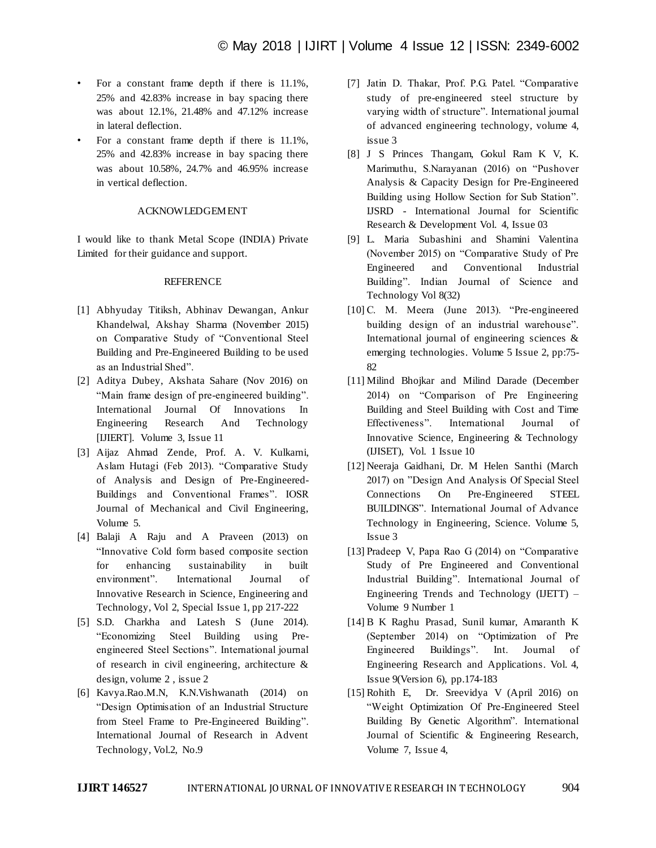- For a constant frame depth if there is 11.1%, 25% and 42.83% increase in bay spacing there was about 12.1%, 21.48% and 47.12% increase in lateral deflection.
- For a constant frame depth if there is 11.1%, 25% and 42.83% increase in bay spacing there was about 10.58%, 24.7% and 46.95% increase in vertical deflection.

# ACKNOWLEDGEMENT

I would like to thank Metal Scope (INDIA) Private Limited for their guidance and support.

# REFERENCE

- [1] Abhyuday Titiksh, Abhinav Dewangan, Ankur Khandelwal, Akshay Sharma (November 2015) on Comparative Study of "Conventional Steel Building and Pre-Engineered Building to be used as an Industrial Shed".
- [2] Aditya Dubey, Akshata Sahare (Nov 2016) on "Main frame design of pre-engineered building". International Journal Of Innovations In Engineering Research And Technology [IJIERT]. Volume 3, Issue 11
- [3] Aijaz Ahmad Zende, Prof. A. V. Kulkarni, Aslam Hutagi (Feb 2013). "Comparative Study of Analysis and Design of Pre-Engineered-Buildings and Conventional Frames". IOSR Journal of Mechanical and Civil Engineering, Volume 5.
- [4] Balaji A Raju and A Praveen (2013) on "Innovative Cold form based composite section for enhancing sustainability in built environment". International Journal of Innovative Research in Science, Engineering and Technology, Vol 2, Special Issue 1, pp 217-222
- [5] S.D. Charkha and Latesh S (June 2014). "Economizing Steel Building using Preengineered Steel Sections". International journal of research in civil engineering, architecture & design, volume 2 , issue 2
- [6] Kavya.Rao.M.N, K.N.Vishwanath (2014) on "Design Optimisation of an Industrial Structure from Steel Frame to Pre-Engineered Building". International Journal of Research in Advent Technology, Vol.2, No.9
- [7] Jatin D. Thakar, Prof. P.G. Patel. "Comparative study of pre-engineered steel structure by varying width of structure". International journal of advanced engineering technology, volume 4, issue 3
- [8] J S Princes Thangam, Gokul Ram K V, K. Marimuthu, S.Narayanan (2016) on "Pushover Analysis & Capacity Design for Pre-Engineered Building using Hollow Section for Sub Station". IJSRD - International Journal for Scientific Research & Development Vol. 4, Issue 03
- [9] L. Maria Subashini and Shamini Valentina (November 2015) on "Comparative Study of Pre Engineered and Conventional Industrial Building". Indian Journal of Science and Technology Vol 8(32)
- [10] C. M. Meera (June 2013). "Pre-engineered building design of an industrial warehouse". International journal of engineering sciences & emerging technologies. Volume 5 Issue 2, pp:75- 82
- [11] Milind Bhojkar and Milind Darade (December 2014) on "Comparison of Pre Engineering Building and Steel Building with Cost and Time Effectiveness". International Journal of Innovative Science, Engineering & Technology (IJISET), Vol. 1 Issue 10
- [12] Neeraja Gaidhani, Dr. M Helen Santhi (March 2017) on "Design And Analysis Of Special Steel Connections On Pre-Engineered STEEL BUILDINGS". International Journal of Advance Technology in Engineering, Science. Volume 5, Issue 3
- [13] Pradeep V, Papa Rao G (2014) on "Comparative Study of Pre Engineered and Conventional Industrial Building". International Journal of Engineering Trends and Technology (IJETT) – Volume 9 Number 1
- [14] B K Raghu Prasad, Sunil kumar, Amaranth K (September 2014) on "Optimization of Pre Engineered Buildings". Int. Journal of Engineering Research and Applications. Vol. 4, Issue 9(Version 6), pp.174-183
- [15] Rohith E, Dr. Sreevidya V (April 2016) on "Weight Optimization Of Pre-Engineered Steel Building By Genetic Algorithm". International Journal of Scientific & Engineering Research, Volume 7, Issue 4,